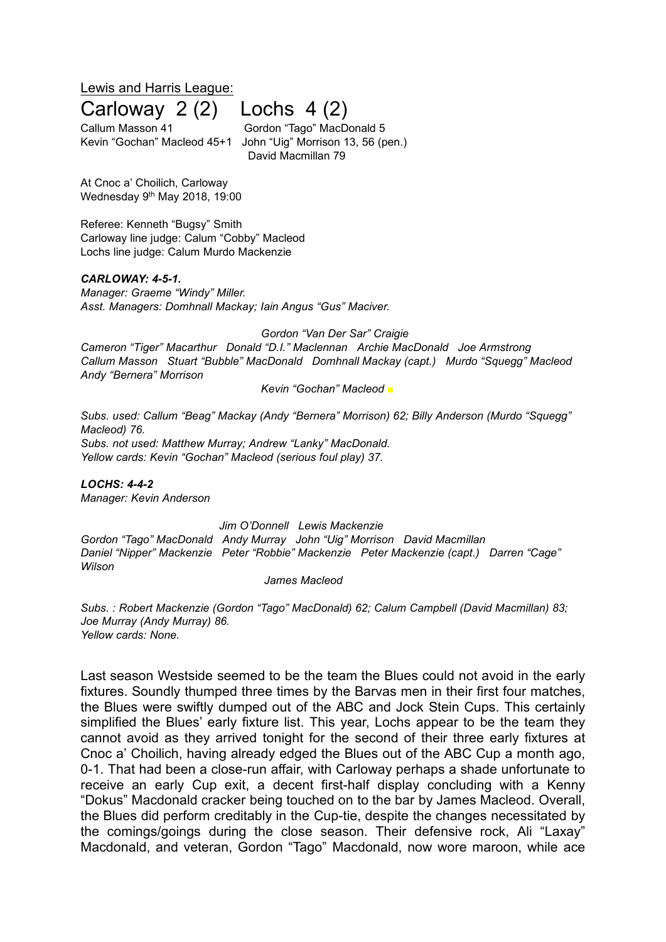Lewis and Harris League:

# Carloway 2 (2) Lochs 4 (2)

Callum Masson 41 Gordon "Tago" MacDonald 5 Kevin "Gochan" Macleod 45+1 John "Uig" Morrison 13, 56 (pen.) David Macmillan 79

At Cnoc a' Choilich, Carloway Wednesday 9<sup>th</sup> May 2018, 19:00

Referee: Kenneth "Bugsy" Smith Carloway line judge: Calum "Cobby" Macleod Lochs line judge: Calum Murdo Mackenzie

#### *CARLOWAY: 4-5-1.*

*Manager: Graeme "Windy" Miller. Asst. Managers: Domhnall Mackay; Iain Angus "Gus" Maciver.*

*Gordon "Van Der Sar" Craigie*

*Cameron "Tiger" Macarthur Donald "D.I." Maclennan Archie MacDonald Joe Armstrong Callum Masson Stuart "Bubble" MacDonald Domhnall Mackay (capt.) Murdo "Squegg" Macleod Andy "Bernera" Morrison*

*Kevin "Gochan" Macleod ■*

*Subs. used: Callum "Beag" Mackay (Andy "Bernera" Morrison) 62; Billy Anderson (Murdo "Squegg" Macleod) 76. Subs. not used: Matthew Murray; Andrew "Lanky" MacDonald. Yellow cards: Kevin "Gochan" Macleod (serious foul play) 37.*

*LOCHS: 4-4-2 Manager: Kevin Anderson*

*Jim O'Donnell Lewis Mackenzie Gordon "Tago" MacDonald Andy Murray John "Uig" Morrison David Macmillan Daniel "Nipper" Mackenzie Peter "Robbie" Mackenzie Peter Mackenzie (capt.) Darren "Cage" Wilson*

*James Macleod*

*Subs. : Robert Mackenzie (Gordon "Tago" MacDonald) 62; Calum Campbell (David Macmillan) 83; Joe Murray (Andy Murray) 86. Yellow cards: None.*

Last season Westside seemed to be the team the Blues could not avoid in the early fixtures. Soundly thumped three times by the Barvas men in their first four matches, the Blues were swiftly dumped out of the ABC and Jock Stein Cups. This certainly simplified the Blues' early fixture list. This year, Lochs appear to be the team they cannot avoid as they arrived tonight for the second of their three early fixtures at Cnoc a' Choilich, having already edged the Blues out of the ABC Cup a month ago, 0-1. That had been a close-run affair, with Carloway perhaps a shade unfortunate to receive an early Cup exit, a decent first-half display concluding with a Kenny "Dokus" Macdonald cracker being touched on to the bar by James Macleod. Overall, the Blues did perform creditably in the Cup-tie, despite the changes necessitated by the comings/goings during the close season. Their defensive rock, Ali "Laxay" Macdonald, and veteran, Gordon "Tago" Macdonald, now wore maroon, while ace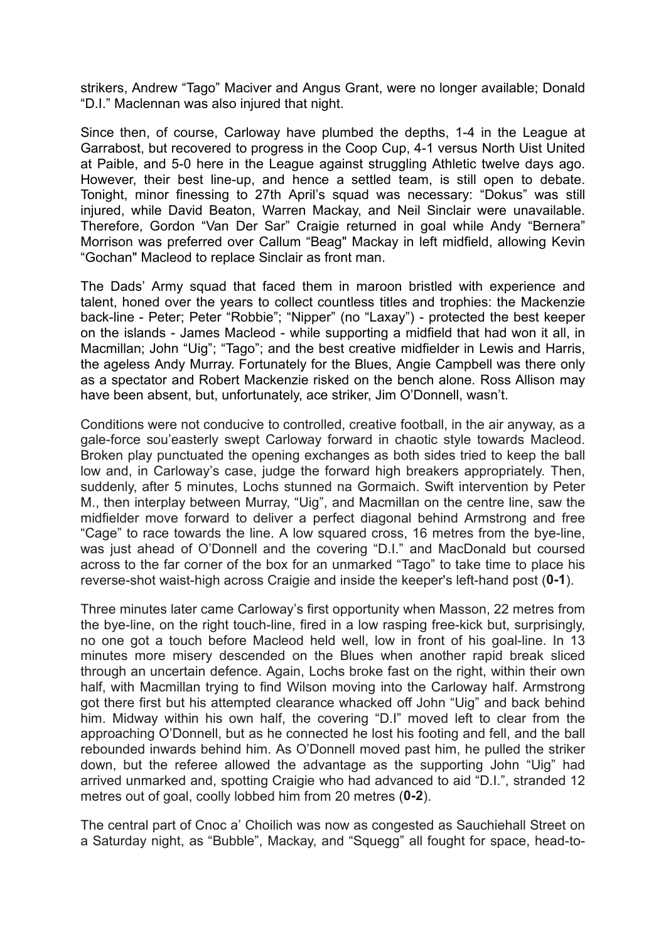strikers, Andrew "Tago" Maciver and Angus Grant, were no longer available; Donald "D.I." Maclennan was also injured that night.

Since then, of course, Carloway have plumbed the depths, 1-4 in the League at Garrabost, but recovered to progress in the Coop Cup, 4-1 versus North Uist United at Paible, and 5-0 here in the League against struggling Athletic twelve days ago. However, their best line-up, and hence a settled team, is still open to debate. Tonight, minor finessing to 27th April's squad was necessary: "Dokus" was still injured, while David Beaton, Warren Mackay, and Neil Sinclair were unavailable. Therefore, Gordon "Van Der Sar" Craigie returned in goal while Andy "Bernera" Morrison was preferred over Callum "Beag" Mackay in left midfield, allowing Kevin "Gochan" Macleod to replace Sinclair as front man.

The Dads' Army squad that faced them in maroon bristled with experience and talent, honed over the years to collect countless titles and trophies: the Mackenzie back-line - Peter; Peter "Robbie"; "Nipper" (no "Laxay") - protected the best keeper on the islands - James Macleod - while supporting a midfield that had won it all, in Macmillan; John "Uig"; "Tago"; and the best creative midfielder in Lewis and Harris, the ageless Andy Murray. Fortunately for the Blues, Angie Campbell was there only as a spectator and Robert Mackenzie risked on the bench alone. Ross Allison may have been absent, but, unfortunately, ace striker, Jim O'Donnell, wasn't.

Conditions were not conducive to controlled, creative football, in the air anyway, as a gale-force sou'easterly swept Carloway forward in chaotic style towards Macleod. Broken play punctuated the opening exchanges as both sides tried to keep the ball low and, in Carloway's case, judge the forward high breakers appropriately. Then, suddenly, after 5 minutes, Lochs stunned na Gormaich. Swift intervention by Peter M., then interplay between Murray, "Uig", and Macmillan on the centre line, saw the midfielder move forward to deliver a perfect diagonal behind Armstrong and free "Cage" to race towards the line. A low squared cross, 16 metres from the bye-line, was just ahead of O'Donnell and the covering "D.I." and MacDonald but coursed across to the far corner of the box for an unmarked "Tago" to take time to place his reverse-shot waist-high across Craigie and inside the keeper's left-hand post (**0-1**).

Three minutes later came Carloway's first opportunity when Masson, 22 metres from the bye-line, on the right touch-line, fired in a low rasping free-kick but, surprisingly, no one got a touch before Macleod held well, low in front of his goal-line. In 13 minutes more misery descended on the Blues when another rapid break sliced through an uncertain defence. Again, Lochs broke fast on the right, within their own half, with Macmillan trying to find Wilson moving into the Carloway half. Armstrong got there first but his attempted clearance whacked off John "Uig" and back behind him. Midway within his own half, the covering "D.I" moved left to clear from the approaching O'Donnell, but as he connected he lost his footing and fell, and the ball rebounded inwards behind him. As O'Donnell moved past him, he pulled the striker down, but the referee allowed the advantage as the supporting John "Uig" had arrived unmarked and, spotting Craigie who had advanced to aid "D.I.", stranded 12 metres out of goal, coolly lobbed him from 20 metres (**0-2**).

The central part of Cnoc a' Choilich was now as congested as Sauchiehall Street on a Saturday night, as "Bubble", Mackay, and "Squegg" all fought for space, head-to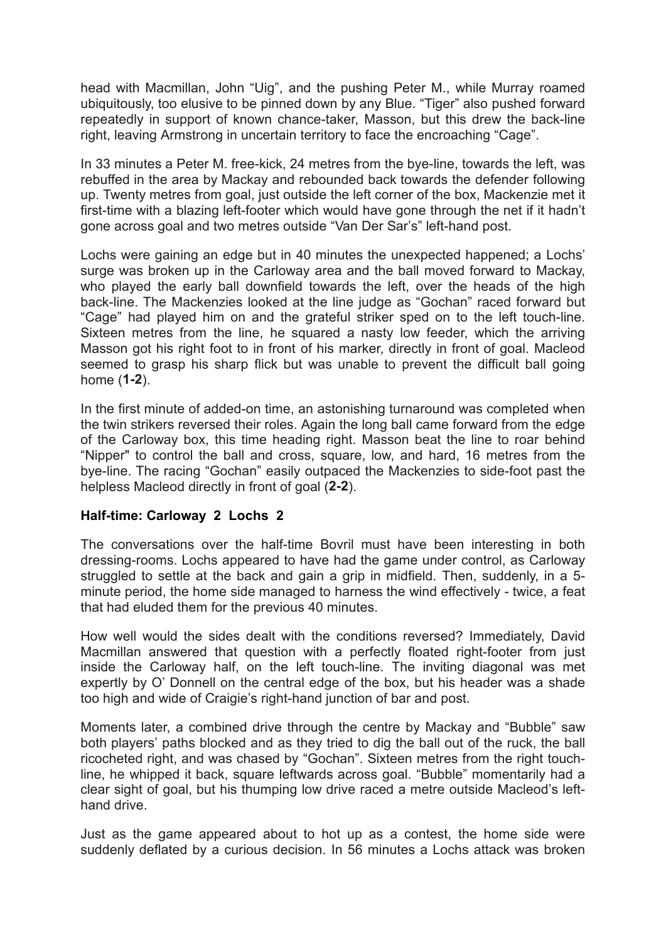head with Macmillan, John "Uig", and the pushing Peter M., while Murray roamed ubiquitously, too elusive to be pinned down by any Blue. "Tiger" also pushed forward repeatedly in support of known chance-taker, Masson, but this drew the back-line right, leaving Armstrong in uncertain territory to face the encroaching "Cage".

In 33 minutes a Peter M. free-kick, 24 metres from the bye-line, towards the left, was rebuffed in the area by Mackay and rebounded back towards the defender following up. Twenty metres from goal, just outside the left corner of the box, Mackenzie met it first-time with a blazing left-footer which would have gone through the net if it hadn't gone across goal and two metres outside "Van Der Sar's" left-hand post.

Lochs were gaining an edge but in 40 minutes the unexpected happened; a Lochs' surge was broken up in the Carloway area and the ball moved forward to Mackay, who played the early ball downfield towards the left, over the heads of the high back-line. The Mackenzies looked at the line judge as "Gochan" raced forward but "Cage" had played him on and the grateful striker sped on to the left touch-line. Sixteen metres from the line, he squared a nasty low feeder, which the arriving Masson got his right foot to in front of his marker, directly in front of goal. Macleod seemed to grasp his sharp flick but was unable to prevent the difficult ball going home (**1-2**).

In the first minute of added-on time, an astonishing turnaround was completed when the twin strikers reversed their roles. Again the long ball came forward from the edge of the Carloway box, this time heading right. Masson beat the line to roar behind "Nipper" to control the ball and cross, square, low, and hard, 16 metres from the bye-line. The racing "Gochan" easily outpaced the Mackenzies to side-foot past the helpless Macleod directly in front of goal (**2-2**).

### **Half-time: Carloway 2 Lochs 2**

The conversations over the half-time Bovril must have been interesting in both dressing-rooms. Lochs appeared to have had the game under control, as Carloway struggled to settle at the back and gain a grip in midfield. Then, suddenly, in a 5 minute period, the home side managed to harness the wind effectively - twice, a feat that had eluded them for the previous 40 minutes.

How well would the sides dealt with the conditions reversed? Immediately, David Macmillan answered that question with a perfectly floated right-footer from just inside the Carloway half, on the left touch-line. The inviting diagonal was met expertly by O' Donnell on the central edge of the box, but his header was a shade too high and wide of Craigie's right-hand junction of bar and post.

Moments later, a combined drive through the centre by Mackay and "Bubble" saw both players' paths blocked and as they tried to dig the ball out of the ruck, the ball ricocheted right, and was chased by "Gochan". Sixteen metres from the right touchline, he whipped it back, square leftwards across goal. "Bubble" momentarily had a clear sight of goal, but his thumping low drive raced a metre outside Macleod's lefthand drive.

Just as the game appeared about to hot up as a contest, the home side were suddenly deflated by a curious decision. In 56 minutes a Lochs attack was broken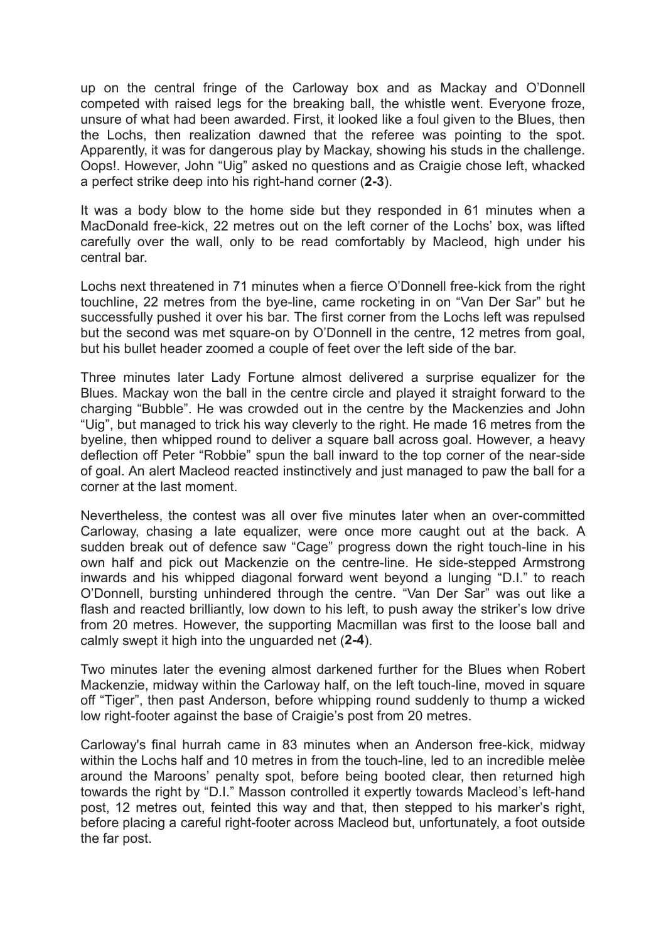up on the central fringe of the Carloway box and as Mackay and O'Donnell competed with raised legs for the breaking ball, the whistle went. Everyone froze, unsure of what had been awarded. First, it looked like a foul given to the Blues, then the Lochs, then realization dawned that the referee was pointing to the spot. Apparently, it was for dangerous play by Mackay, showing his studs in the challenge. Oops!. However, John "Uig" asked no questions and as Craigie chose left, whacked a perfect strike deep into his right-hand corner (**2-3**).

It was a body blow to the home side but they responded in 61 minutes when a MacDonald free-kick, 22 metres out on the left corner of the Lochs' box, was lifted carefully over the wall, only to be read comfortably by Macleod, high under his central bar.

Lochs next threatened in 71 minutes when a fierce O'Donnell free-kick from the right touchline, 22 metres from the bye-line, came rocketing in on "Van Der Sar" but he successfully pushed it over his bar. The first corner from the Lochs left was repulsed but the second was met square-on by O'Donnell in the centre, 12 metres from goal, but his bullet header zoomed a couple of feet over the left side of the bar.

Three minutes later Lady Fortune almost delivered a surprise equalizer for the Blues. Mackay won the ball in the centre circle and played it straight forward to the charging "Bubble". He was crowded out in the centre by the Mackenzies and John "Uig", but managed to trick his way cleverly to the right. He made 16 metres from the byeline, then whipped round to deliver a square ball across goal. However, a heavy deflection off Peter "Robbie" spun the ball inward to the top corner of the near-side of goal. An alert Macleod reacted instinctively and just managed to paw the ball for a corner at the last moment.

Nevertheless, the contest was all over five minutes later when an over-committed Carloway, chasing a late equalizer, were once more caught out at the back. A sudden break out of defence saw "Cage" progress down the right touch-line in his own half and pick out Mackenzie on the centre-line. He side-stepped Armstrong inwards and his whipped diagonal forward went beyond a lunging "D.I." to reach O'Donnell, bursting unhindered through the centre. "Van Der Sar" was out like a flash and reacted brilliantly, low down to his left, to push away the striker's low drive from 20 metres. However, the supporting Macmillan was first to the loose ball and calmly swept it high into the unguarded net (**2-4**).

Two minutes later the evening almost darkened further for the Blues when Robert Mackenzie, midway within the Carloway half, on the left touch-line, moved in square off "Tiger", then past Anderson, before whipping round suddenly to thump a wicked low right-footer against the base of Craigie's post from 20 metres.

Carloway's final hurrah came in 83 minutes when an Anderson free-kick, midway within the Lochs half and 10 metres in from the touch-line, led to an incredible melèe around the Maroons' penalty spot, before being booted clear, then returned high towards the right by "D.I." Masson controlled it expertly towards Macleod's left-hand post, 12 metres out, feinted this way and that, then stepped to his marker's right, before placing a careful right-footer across Macleod but, unfortunately, a foot outside the far post.